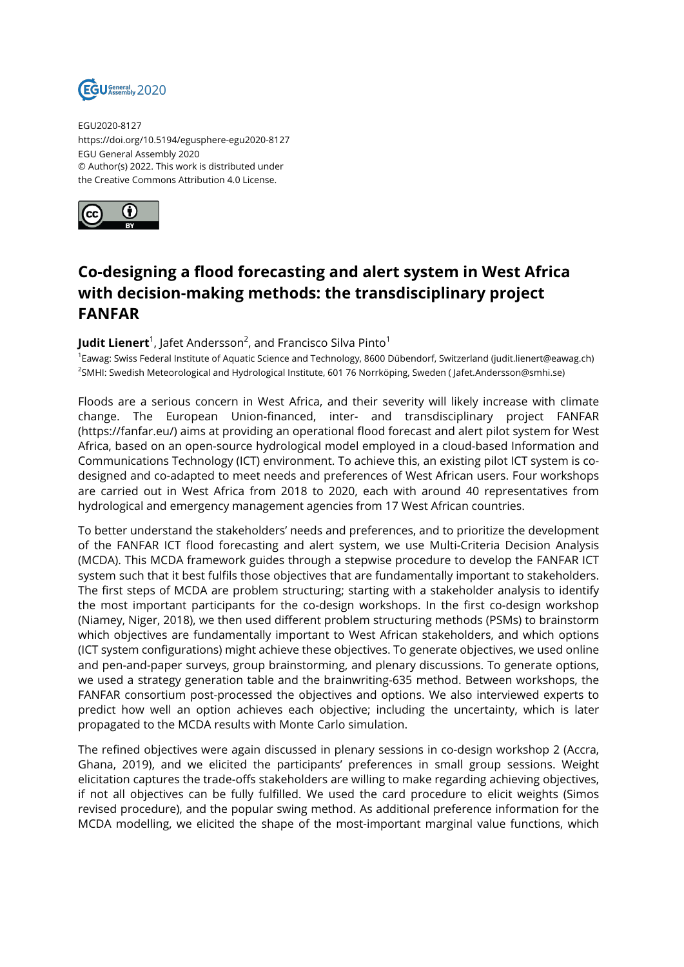

EGU2020-8127 https://doi.org/10.5194/egusphere-egu2020-8127 EGU General Assembly 2020 © Author(s) 2022. This work is distributed under the Creative Commons Attribution 4.0 License.



## **Co-designing a flood forecasting and alert system in West Africa with decision-making methods: the transdisciplinary project FANFAR**

## **Judit Lienert**<sup>1</sup>, Jafet Andersson<sup>2</sup>, and Francisco Silva Pinto<sup>1</sup>

<sup>1</sup>Eawag: Swiss Federal Institute of Aquatic Science and Technology, 8600 Dübendorf, Switzerland (judit.lienert@eawag.ch) <sup>2</sup>SMHI: Swedish Meteorological and Hydrological Institute, 601 76 Norrköping, Sweden ( Jafet.Andersson@smhi.se)

Floods are a serious concern in West Africa, and their severity will likely increase with climate change. The European Union-financed, inter- and transdisciplinary project FANFAR (https://fanfar.eu/) aims at providing an operational flood forecast and alert pilot system for West Africa, based on an open-source hydrological model employed in a cloud-based Information and Communications Technology (ICT) environment. To achieve this, an existing pilot ICT system is codesigned and co-adapted to meet needs and preferences of West African users. Four workshops are carried out in West Africa from 2018 to 2020, each with around 40 representatives from hydrological and emergency management agencies from 17 West African countries.

To better understand the stakeholders' needs and preferences, and to prioritize the development of the FANFAR ICT flood forecasting and alert system, we use Multi-Criteria Decision Analysis (MCDA). This MCDA framework guides through a stepwise procedure to develop the FANFAR ICT system such that it best fulfils those objectives that are fundamentally important to stakeholders. The first steps of MCDA are problem structuring; starting with a stakeholder analysis to identify the most important participants for the co-design workshops. In the first co-design workshop (Niamey, Niger, 2018), we then used different problem structuring methods (PSMs) to brainstorm which objectives are fundamentally important to West African stakeholders, and which options (ICT system configurations) might achieve these objectives. To generate objectives, we used online and pen-and-paper surveys, group brainstorming, and plenary discussions. To generate options, we used a strategy generation table and the brainwriting-635 method. Between workshops, the FANFAR consortium post-processed the objectives and options. We also interviewed experts to predict how well an option achieves each objective; including the uncertainty, which is later propagated to the MCDA results with Monte Carlo simulation.

The refined objectives were again discussed in plenary sessions in co-design workshop 2 (Accra, Ghana, 2019), and we elicited the participants' preferences in small group sessions. Weight elicitation captures the trade-offs stakeholders are willing to make regarding achieving objectives, if not all objectives can be fully fulfilled. We used the card procedure to elicit weights (Simos revised procedure), and the popular swing method. As additional preference information for the MCDA modelling, we elicited the shape of the most-important marginal value functions, which